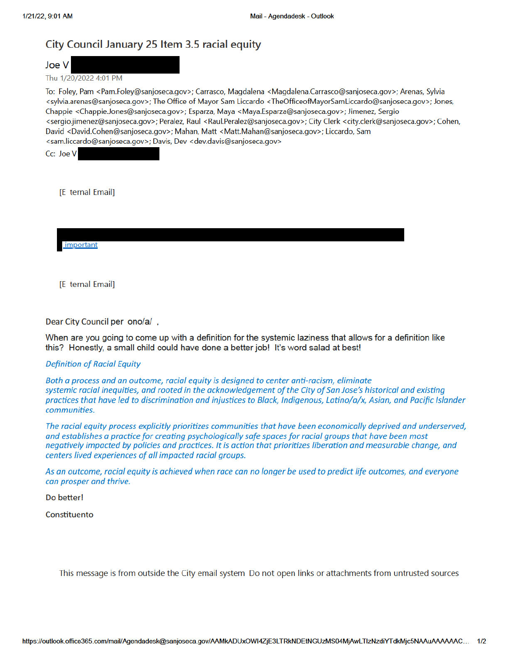# City Council January 25 Item 3.5 racial equity

Joe V

Thu 1/20/2022 4:01 PM

To: Foley, Pam <Pam.Foley@sanjoseca.gov>; Carrasco, Magdalena <Magdalena.Carrasco@sanjoseca.gov>; Arenas, Sylvia <sylvia.arenas@sanjoseca.gov>; The Office of Mayor Sam Liccardo <TheOfficeofMayorSamLiccardo@sanjoseca.gov>; Jones, Chappie <Chappie.Jones@sanjoseca.gov>; Esparza, Maya <Maya.Esparza@sanjoseca.gov>; Jimenez, Sergio <sergio.jimenez@sanjoseca.gov>; Peralez, Raul <Raul.Peralez@sanjoseca.gov>; City Clerk <city.clerk@sanjoseca.gov>; Cohen, David <David.Cohen@sanjoseca.gov>; Mahan, Matt <Matt.Mahan@sanjoseca.gov>; Liccardo, Sam <sam.liccardo@sanjoseca.gov>; Davis, Dev <dev.davis@sanjoseca.gov>

Cc: Joe V

[E ternal Email]

important

[E ternal Email]

Dear City Council per ono/a/,

When are you going to come up with a definition for the systemic laziness that allows for a definition like this? Honestly, a small child could have done a better job! It's word salad at best!

#### **Definition of Racial Equity**

Both a process and an outcome, racial equity is designed to center anti-racism, eliminate systemic racial inequities, and rooted in the acknowledgement of the City of San Jose's historical and existing practices that have led to discrimination and injustices to Black, Indigenous, Latino/a/x, Asian, and Pacific Islander communities.

The racial equity process explicitly prioritizes communities that have been economically deprived and underserved, and establishes a practice for creating psychologically safe spaces for racial groups that have been most negatively impacted by policies and practices. It is action that prioritizes liberation and measurable change, and centers lived experiences of all impacted racial groups.

As an outcome, racial equity is achieved when race can no longer be used to predict life outcomes, and everyone can prosper and thrive.

Do better!

Constituento

This message is from outside the City email system Do not open links or attachments from untrusted sources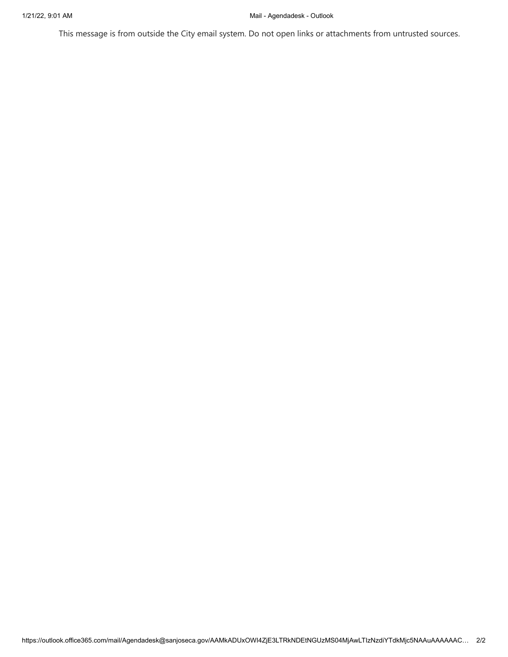This message is from outside the City email system. Do not open links or attachments from untrusted sources.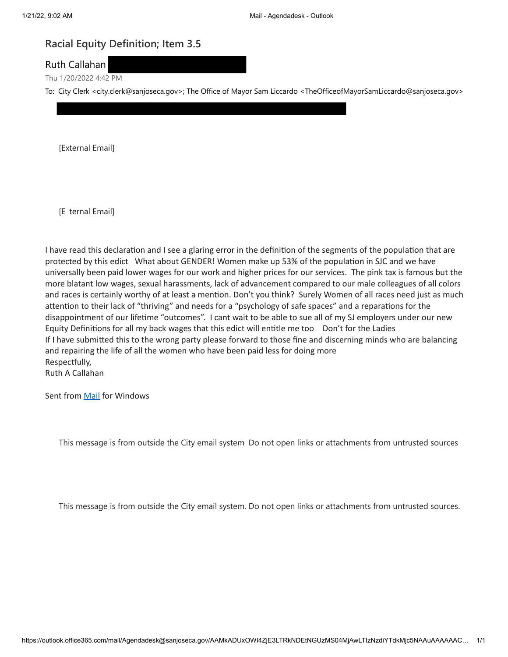# **Racial Equity Definition; Item 3.5**

Ruth Callahan

Thu 1/20/2022 4:42 PM

To: City Clerk <city.clerk@sanjoseca.gov>; The Office of Mayor Sam Liccardo <TheOfficeofMayorSamLiccardo@sanjoseca.gov>

[External Email]

[E ternal Email]

I have read this declaration and I see a glaring error in the definition of the segments of the population that are protected by this edict What about GENDER! Women make up 53% of the population in SJC and we have universally been paid lower wages for our work and higher prices for our services. The pink tax is famous but the more blatant low wages, sexual harassments, lack of advancement compared to our male colleagues of all colors and races is certainly worthy of at least a mention. Don't you think? Surely Women of all races need just as much attention to their lack of "thriving" and needs for a "psychology of safe spaces" and a reparations for the disappointment of our lifetime "outcomes". I cant wait to be able to sue all of my SJ employers under our new Equity Definitions for all my back wages that this edict will entitle me too Don't for the Ladies If I have submitted this to the wrong party please forward to those fine and discerning minds who are balancing and repairing the life of all the women who have been paid less for doing more Respectfully,

Ruth A Callahan

Sent from Mail for Windows

This message is from outside the City email system Do not open links or attachments from untrusted sources

This message is from outside the City email system. Do not open links or attachments from untrusted sources.